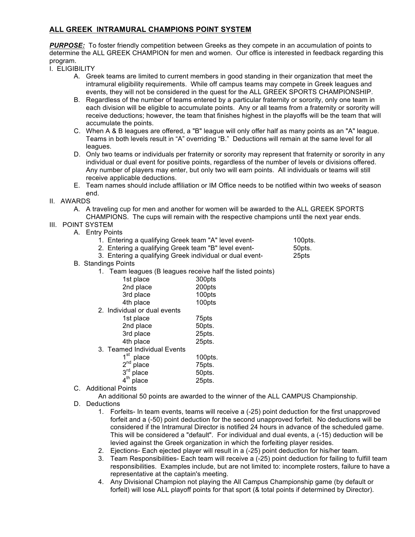## **ALL GREEK INTRAMURAL CHAMPIONS POINT SYSTEM**

**PURPOSE:** To foster friendly competition between Greeks as they compete in an accumulation of points to determine the ALL GREEK CHAMPION for men and women. Our office is interested in feedback regarding this program.

- I. ELIGIBILITY
	- A. Greek teams are limited to current members in good standing in their organization that meet the intramural eligibility requirements. While off campus teams may compete in Greek leagues and events, they will not be considered in the quest for the ALL GREEK SPORTS CHAMPIONSHIP.
	- B. Regardless of the number of teams entered by a particular fraternity or sorority, only one team in each division will be eligible to accumulate points. Any or all teams from a fraternity or sorority will receive deductions; however, the team that finishes highest in the playoffs will be the team that will accumulate the points.
	- C. When A & B leagues are offered, a "B" league will only offer half as many points as an "A" league. Teams in both levels result in "A" overriding "B." Deductions will remain at the same level for all leagues.
	- D. Only two teams or individuals per fraternity or sorority may represent that fraternity or sorority in any individual or dual event for positive points, regardless of the number of levels or divisions offered. Any number of players may enter, but only two will earn points. All individuals or teams will still receive applicable deductions.
	- E. Team names should include affiliation or IM Office needs to be notified within two weeks of season end.
- II. AWARDS
	- A. A traveling cup for men and another for women will be awarded to the ALL GREEK SPORTS

CHAMPIONS. The cups will remain with the respective champions until the next year ends.

- III. POINT SYSTEM
	- A. Entry Points

|  | 1. Entering a qualifying Greek team "A" level event- | 100pts. |
|--|------------------------------------------------------|---------|

2. Entering a qualifying Greek team "B" level event- 50pts.

3. Entering a qualifying Greek individual or dual event- 25pts

- B. Standings Points
	- 1. Team leagues (B leagues receive half the listed points)

| 1st place                                      | 300pts |  |  |  |
|------------------------------------------------|--------|--|--|--|
| 2nd place                                      | 200pts |  |  |  |
| 3rd place                                      | 100pts |  |  |  |
| 4th place                                      | 100pts |  |  |  |
| الملاحظ والمستحين والمستنقذ والمتناوب المتناوب |        |  |  |  |

2. Individual or dual events

| 1st place              | 75pts  |
|------------------------|--------|
| 2nd place              | 50pts. |
| 3rd place              | 25pts. |
| 4th place              | 25pts. |
| ente Individual Fyante |        |

3. Teamed Individual Events

| $1st$ place<br>2 <sup>nd</sup> place | 100pts. |
|--------------------------------------|---------|
|                                      | 75pts.  |
| $3rd$ place                          | 50pts.  |
| $4th$ place                          | 25pts.  |

C. Additional Points

An additional 50 points are awarded to the winner of the ALL CAMPUS Championship.

- D. Deductions
	- 1. Forfeits- In team events, teams will receive a (-25) point deduction for the first unapproved forfeit and a (-50) point deduction for the second unapproved forfeit. No deductions will be considered if the Intramural Director is notified 24 hours in advance of the scheduled game. This will be considered a "default". For individual and dual events, a (-15) deduction will be levied against the Greek organization in which the forfeiting player resides.
	- 2. Ejections- Each ejected player will result in a (-25) point deduction for his/her team.
	- 3. Team Responsibilities- Each team will receive a (-25) point deduction for failing to fulfill team responsibilities. Examples include, but are not limited to: incomplete rosters, failure to have a representative at the captain's meeting.
	- 4. Any Divisional Champion not playing the All Campus Championship game (by default or forfeit) will lose ALL playoff points for that sport (& total points if determined by Director).